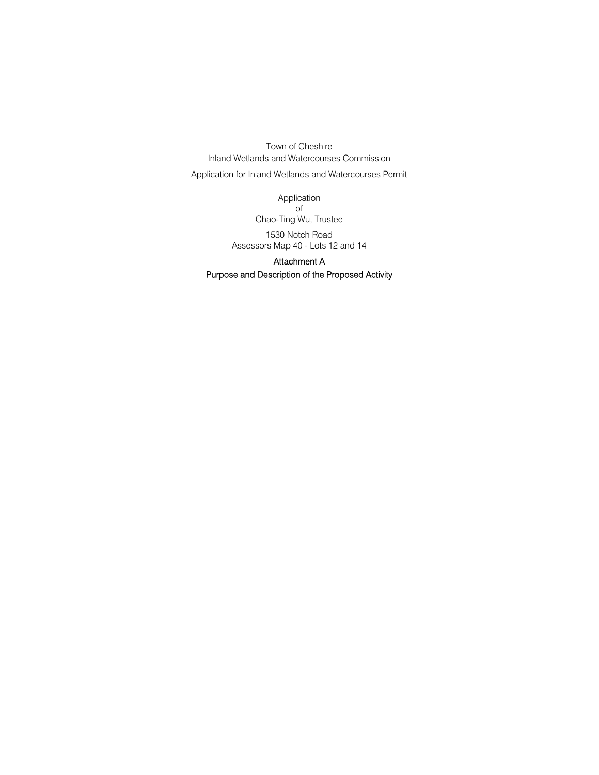Town of Cheshire Inland Wetlands and Watercourses Commission

Application for Inland Wetlands and Watercourses Permit

Application of Chao-Ting Wu, Trustee

1530 Notch Road Assessors Map 40 - Lots 12 and 14

## Attachment A Purpose and Description of the Proposed Activity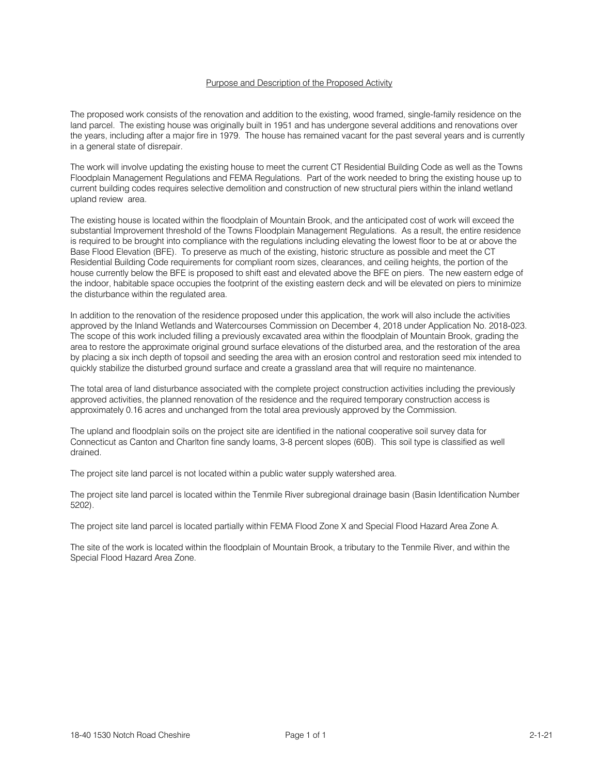## Purpose and Description of the Proposed Activity

The proposed work consists of the renovation and addition to the existing, wood framed, single-family residence on the land parcel. The existing house was originally built in 1951 and has undergone several additions and renovations over the years, including after a major fire in 1979. The house has remained vacant for the past several years and is currently in a general state of disrepair.

The work will involve updating the existing house to meet the current CT Residential Building Code as well as the Towns Floodplain Management Regulations and FEMA Regulations. Part of the work needed to bring the existing house up to current building codes requires selective demolition and construction of new structural piers within the inland wetland upland review area.

The existing house is located within the floodplain of Mountain Brook, and the anticipated cost of work will exceed the substantial Improvement threshold of the Towns Floodplain Management Regulations. As a result, the entire residence is required to be brought into compliance with the regulations including elevating the lowest floor to be at or above the Base Flood Elevation (BFE). To preserve as much of the existing, historic structure as possible and meet the CT Residential Building Code requirements for compliant room sizes, clearances, and ceiling heights, the portion of the house currently below the BFE is proposed to shift east and elevated above the BFE on piers. The new eastern edge of the indoor, habitable space occupies the footprint of the existing eastern deck and will be elevated on piers to minimize the disturbance within the regulated area.

In addition to the renovation of the residence proposed under this application, the work will also include the activities approved by the Inland Wetlands and Watercourses Commission on December 4, 2018 under Application No. 2018-023. The scope of this work included filling a previously excavated area within the floodplain of Mountain Brook, grading the area to restore the approximate original ground surface elevations of the disturbed area, and the restoration of the area by placing a six inch depth of topsoil and seeding the area with an erosion control and restoration seed mix intended to quickly stabilize the disturbed ground surface and create a grassland area that will require no maintenance.

The total area of land disturbance associated with the complete project construction activities including the previously approved activities, the planned renovation of the residence and the required temporary construction access is approximately 0.16 acres and unchanged from the total area previously approved by the Commission.

The upland and floodplain soils on the project site are identified in the national cooperative soil survey data for Connecticut as Canton and Charlton fine sandy loams, 3-8 percent slopes (60B). This soil type is classified as well drained.

The project site land parcel is not located within a public water supply watershed area.

The project site land parcel is located within the Tenmile River subregional drainage basin (Basin Identification Number 5202).

The project site land parcel is located partially within FEMA Flood Zone X and Special Flood Hazard Area Zone A.

The site of the work is located within the floodplain of Mountain Brook, a tributary to the Tenmile River, and within the Special Flood Hazard Area Zone.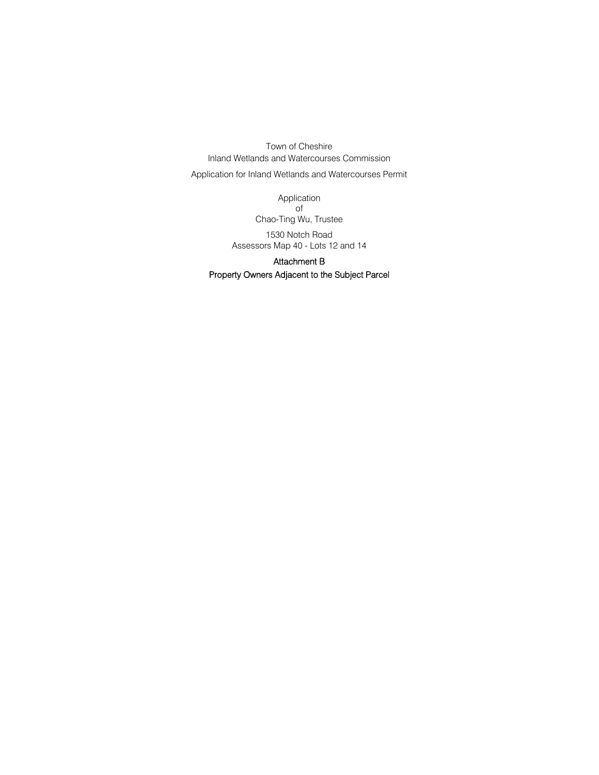Town of Cheshire Inland Wetlands and Watercourses Commission

Application for Inland Wetlands and Watercourses Permit

Application of Chao-Ting Wu, Trustee

1530 Notch Road Assessors Map 40 - Lots 12 and 14

## Attachment B Property Owners Adjacent to the Subject Parcel